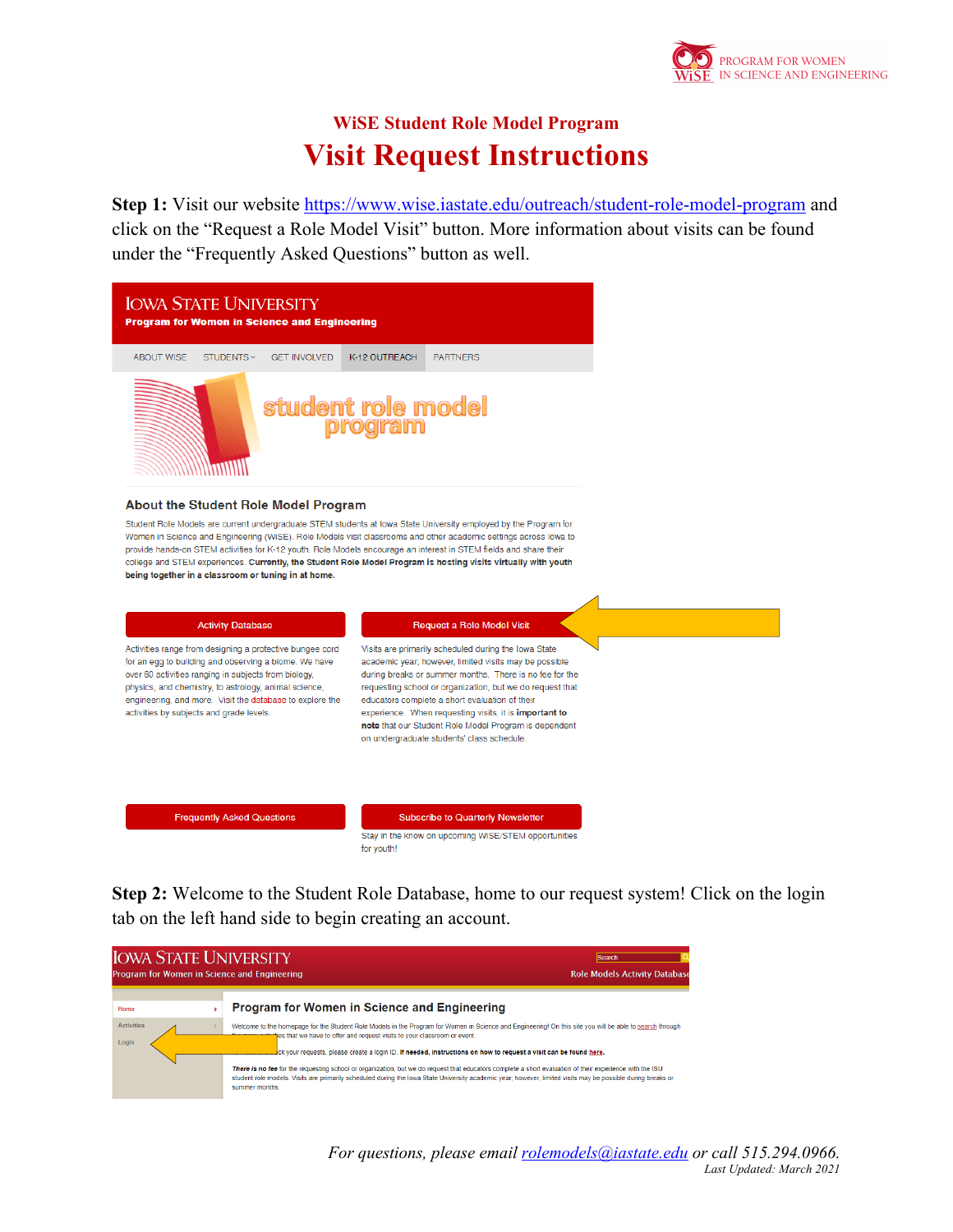

## **WiSE Student Role Model Program Visit Request Instructions**

Step 1: Visit our website https://www.wise.iastate.edu/outreach/student-role-model-program and click on the "Request a Role Model Visit" button. More information about visits can be found under the "Frequently Asked Questions" button as well.



| <b>IOWA STATE UNIVERSITY</b><br>Program for Women in Science and Engineering | <b>Search</b><br><b>Role Models Activity Database</b>                                                                                                                                                                                                                                                                                                                                                                                                                                                                                                                                                                                                                                                   |
|------------------------------------------------------------------------------|---------------------------------------------------------------------------------------------------------------------------------------------------------------------------------------------------------------------------------------------------------------------------------------------------------------------------------------------------------------------------------------------------------------------------------------------------------------------------------------------------------------------------------------------------------------------------------------------------------------------------------------------------------------------------------------------------------|
| Home                                                                         | <b>Program for Women in Science and Engineering</b>                                                                                                                                                                                                                                                                                                                                                                                                                                                                                                                                                                                                                                                     |
| <b>Activities</b><br>Login                                                   | Welcome to the homepage for the Student Role Models in the Program for Women in Science and Engineering! On this site you will be able to search through<br>jes that we have to offer and request visits to your classroom or event.<br>ick your requests, please create a login ID. If needed, instructions on how to request a visit can be found here,<br>There is no fee for the requesting school or organization, but we do request that educators complete a short evaluation of their experience with the ISU<br>student role models. Visits are primarily scheduled during the lowa State University academic year; however, limited visits may be possible during breaks or<br>summer months. |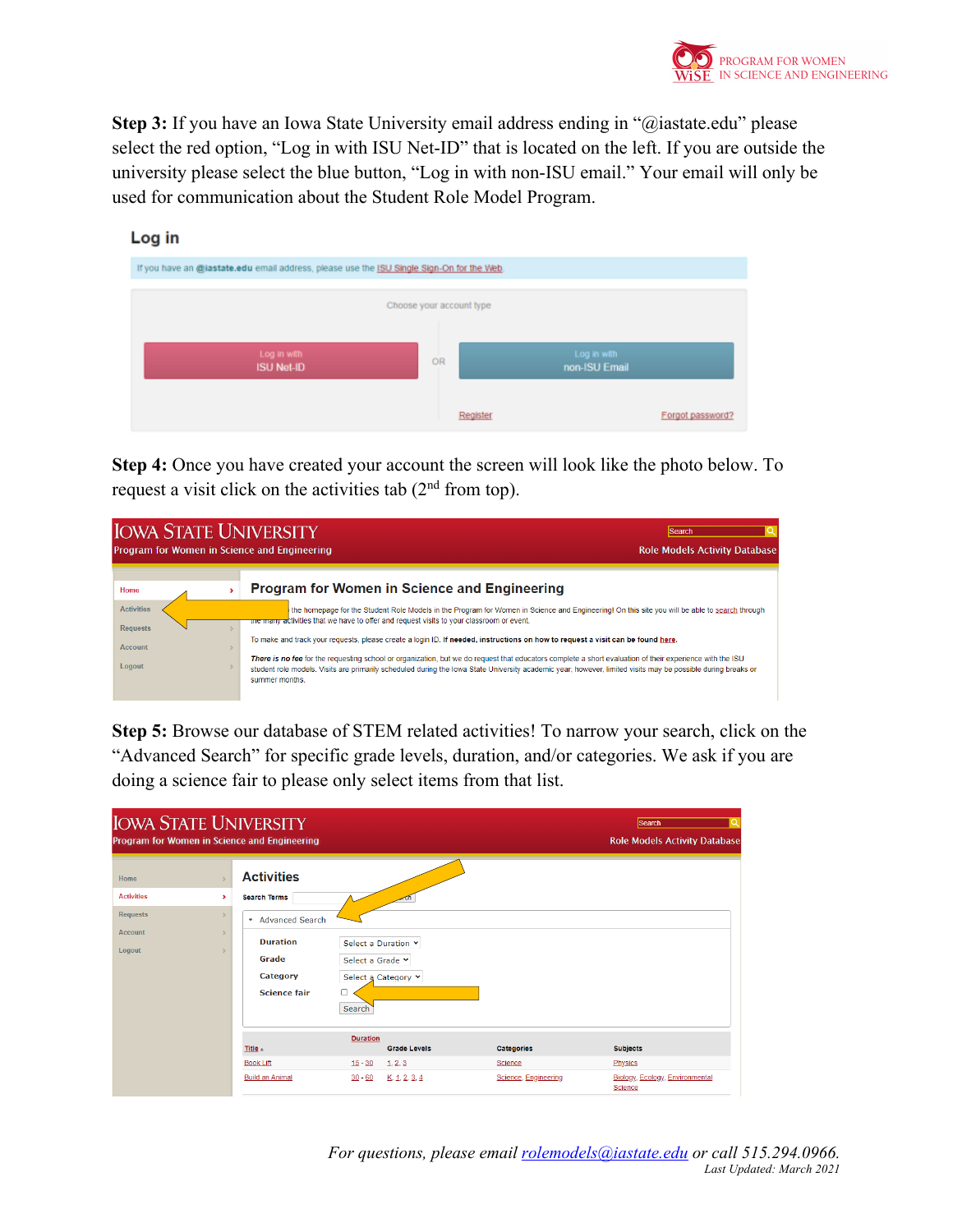

**Step 3:** If you have an Iowa State University email address ending in "@iastate.edu" please select the red option, "Log in with ISU Net-ID" that is located on the left. If you are outside the university please select the blue button, "Log in with non-ISU email." Your email will only be used for communication about the Student Role Model Program.



**Step 4:** Once you have created your account the screen will look like the photo below. To request a visit click on the activities tab  $(2<sup>nd</sup>$  from top).



**Step 5:** Browse our database of STEM related activities! To narrow your search, click on the "Advanced Search" for specific grade levels, duration, and/or categories. We ask if you are doing a science fair to please only select items from that list.

| <b>IOWA STATE UNIVERSITY</b><br>Program for Women in Science and Engineering  |                                                                                                                              |                                                                                              |                                               | Q<br><b>Search</b><br><b>Role Models Activity Database</b>               |
|-------------------------------------------------------------------------------|------------------------------------------------------------------------------------------------------------------------------|----------------------------------------------------------------------------------------------|-----------------------------------------------|--------------------------------------------------------------------------|
| Home<br><b>Activities</b><br>×<br><b>Requests</b><br><b>Account</b><br>Logout | <b>Activities</b><br><b>Search Terms</b><br>* Advanced Search<br><b>Duration</b><br>Grade<br>Category<br><b>Science fair</b> | Select a Duration Y<br>Select a Grade Y<br>Select a Category v<br>Search                     |                                               |                                                                          |
|                                                                               | Title A<br><b>Book Lift</b><br><b>Build an Animal</b>                                                                        | <b>Duration</b><br><b>Grade Levels</b><br>$15 - 30$<br>1, 2, 3<br>$30 - 60$<br>K, 1, 2, 3, 4 | Categories<br>Science<br>Science, Engineering | <b>Subjects</b><br>Physics<br>Biology, Ecology, Environmental<br>Science |

*For questions, please email rolemodels@iastate.edu or call 515.294.0966. Last Updated: March 2021*